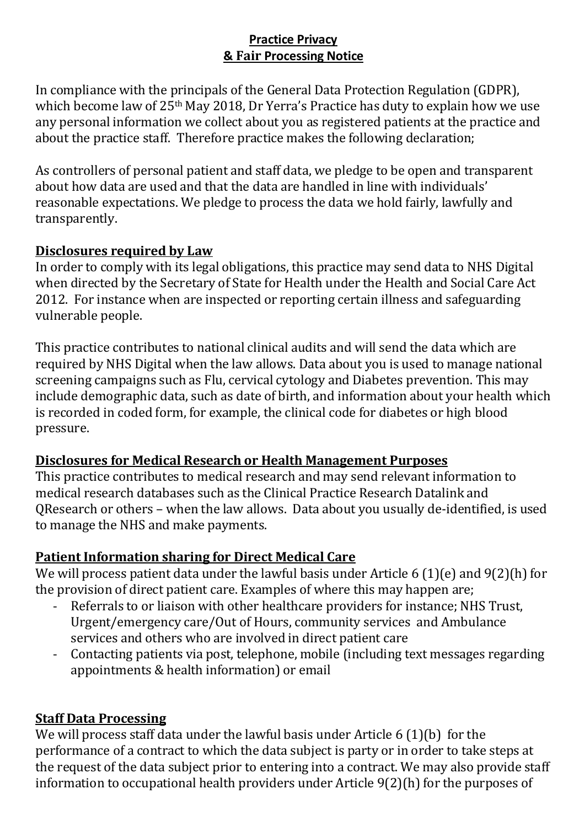## **Practice Privacy & Fair Processing Notice**

In compliance with the principals of the General Data Protection Regulation (GDPR), which become law of 25<sup>th</sup> May 2018, Dr Yerra's Practice has duty to explain how we use any personal information we collect about you as registered patients at the practice and about the practice staff. Therefore practice makes the following declaration;

As controllers of personal patient and staff data, we pledge to be open and transparent about how data are used and that the data are handled in line with individuals' reasonable expectations. We pledge to process the data we hold fairly, lawfully and transparently.

# **Disclosures required by Law**

In order to comply with its legal obligations, this practice may send data to NHS Digital when directed by the Secretary of State for Health under the Health and Social Care Act 2012. For instance when are inspected or reporting certain illness and safeguarding vulnerable people.

This practice contributes to national clinical audits and will send the data which are required by NHS Digital when the law allows. Data about you is used to manage national screening campaigns such as Flu, cervical cytology and Diabetes prevention. This may include demographic data, such as date of birth, and information about your health which is recorded in coded form, for example, the clinical code for diabetes or high blood pressure.

## **Disclosures for Medical Research or Health Management Purposes**

This practice contributes to medical research and may send relevant information to medical research databases such as the Clinical Practice Research Datalink and QResearch or others – when the law allows. Data about you usually de-identified, is used to manage the NHS and make payments.

# **Patient Information sharing for Direct Medical Care**

We will process patient data under the lawful basis under Article 6 (1)(e) and 9(2)(h) for the provision of direct patient care. Examples of where this may happen are;

- Referrals to or liaison with other healthcare providers for instance; NHS Trust, Urgent/emergency care/Out of Hours, community services and Ambulance services and others who are involved in direct patient care
- Contacting patients via post, telephone, mobile (including text messages regarding appointments & health information) or email

# **Staff Data Processing**

We will process staff data under the lawful basis under Article 6 (1)(b) for the performance of a contract to which the data subject is party or in order to take steps at the request of the data subject prior to entering into a contract. We may also provide staff information to occupational health providers under Article 9(2)(h) for the purposes of